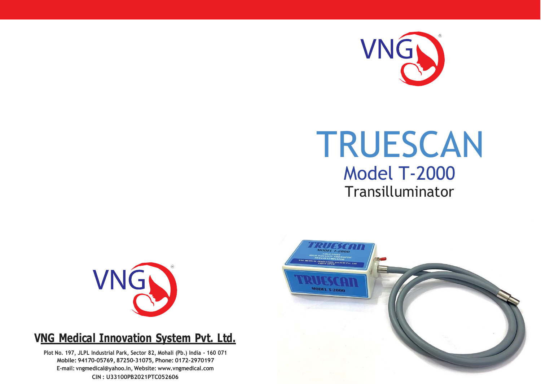

# TRUESCAN Model T-2000 Transilluminator



### **VNG Medical Innovation System Pvt. Ltd.**

**Plot No. 197, JLPL Industrial Park, Sector 82, Mohali (Pb.) India - 160 071 Mobile: 94170-05769, 87250-31075, Phone: 0172-2970197 E-mail: [vngmedical@yahoo.in,](mailto:vngmedical@yahoo.in) Website: [www.vngmedical.com](http://www.vngmedical.com/) CIN : U33100PB2021PTC052606**